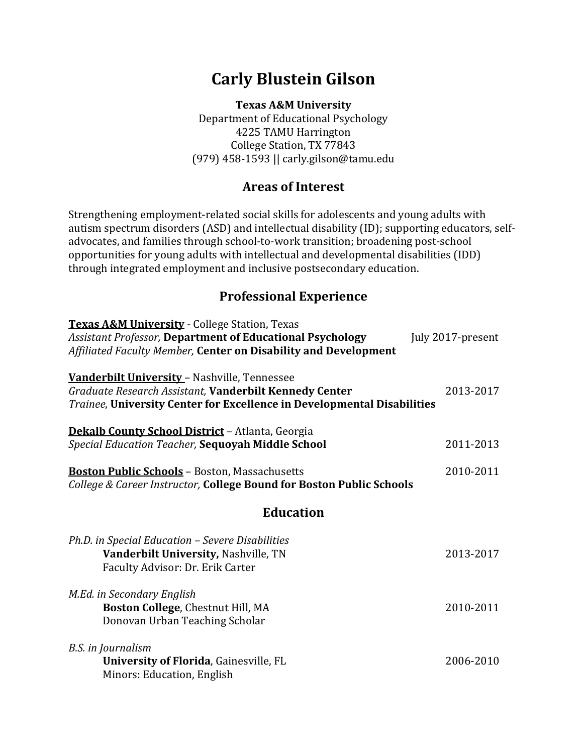# **Carly Blustein Gilson**

**Texas A&M University** Department of Educational Psychology 4225 TAMU Harrington College Station, TX 77843 (979) 458-1593 || carly.gilson@tamu.edu

### **Areas of Interest**

Strengthening employment-related social skills for adolescents and young adults with autism spectrum disorders (ASD) and intellectual disability (ID); supporting educators, selfadvocates, and families through school-to-work transition; broadening post-school opportunities for young adults with intellectual and developmental disabilities (IDD) through integrated employment and inclusive postsecondary education.

### **Professional Experience**

| <b>Texas A&amp;M University - College Station, Texas</b><br><b>Assistant Professor, Department of Educational Psychology</b><br>Affiliated Faculty Member, Center on Disability and Development | July 2017-present |
|-------------------------------------------------------------------------------------------------------------------------------------------------------------------------------------------------|-------------------|
| Vanderbilt University - Nashville, Tennessee<br>Graduate Research Assistant, Vanderbilt Kennedy Center<br>Trainee, University Center for Excellence in Developmental Disabilities               | 2013-2017         |
| <b>Dekalb County School District - Atlanta, Georgia</b><br>Special Education Teacher, Sequoyah Middle School                                                                                    | 2011-2013         |
| <b>Boston Public Schools</b> - Boston, Massachusetts<br>College & Career Instructor, College Bound for Boston Public Schools                                                                    | 2010-2011         |
| <b>Education</b>                                                                                                                                                                                |                   |
| Ph.D. in Special Education - Severe Disabilities<br>Vanderbilt University, Nashville, TN<br>Faculty Advisor: Dr. Erik Carter                                                                    | 2013-2017         |
| M.Ed. in Secondary English<br>Boston College, Chestnut Hill, MA<br>Donovan Urban Teaching Scholar                                                                                               | 2010-2011         |
| B.S. in Journalism<br><b>University of Florida, Gainesville, FL</b><br>Minors: Education, English                                                                                               | 2006-2010         |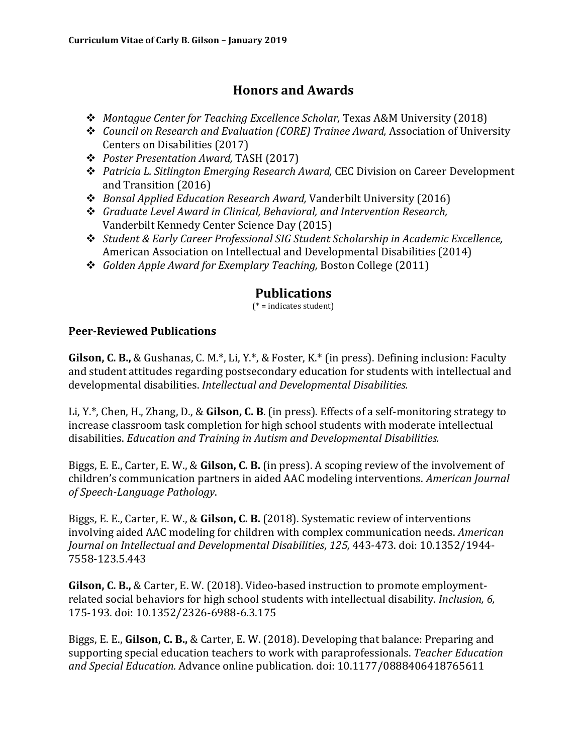## **Honors and Awards**

- *Montague Center for Teaching Excellence Scholar,* Texas A&M University (2018)
- *Council on Research and Evaluation (CORE) Trainee Award,* Association of University Centers on Disabilities (2017)
- *Poster Presentation Award,* TASH (2017)
- *Patricia L. Sitlington Emerging Research Award,* CEC Division on Career Development and Transition (2016)
- *Bonsal Applied Education Research Award,* Vanderbilt University (2016)
- *Graduate Level Award in Clinical, Behavioral, and Intervention Research,*  Vanderbilt Kennedy Center Science Day (2015)
- *Student & Early Career Professional SIG Student Scholarship in Academic Excellence,*  American Association on Intellectual and Developmental Disabilities (2014)
- *Golden Apple Award for Exemplary Teaching,* Boston College (2011)

### **Publications**

(\* = indicates student)

#### **Peer-Reviewed Publications**

**Gilson, C. B.,** & Gushanas, C. M.\*, Li, Y.\*, & Foster, K.\* (in press). Defining inclusion: Faculty and student attitudes regarding postsecondary education for students with intellectual and developmental disabilities. *Intellectual and Developmental Disabilities.*

Li, Y.\*, Chen, H., Zhang, D., & **Gilson, C. B**. (in press). Effects of a self-monitoring strategy to increase classroom task completion for high school students with moderate intellectual disabilities. *Education and Training in Autism and Developmental Disabilities.*

Biggs, E. E., Carter, E. W., & **Gilson, C. B.** (in press). A scoping review of the involvement of children's communication partners in aided AAC modeling interventions. *American Journal of Speech-Language Pathology*.

Biggs, E. E., Carter, E. W., & **Gilson, C. B.** (2018). Systematic review of interventions involving aided AAC modeling for children with complex communication needs. *American Journal on Intellectual and Developmental Disabilities, 125,* 443-473. doi: 10.1352/1944- 7558-123.5.443

**Gilson, C. B.,** & Carter, E. W. (2018). Video-based instruction to promote employmentrelated social behaviors for high school students with intellectual disability. *Inclusion, 6,*  175-193*.* doi: 10.1352/2326-6988-6.3.175

Biggs, E. E., **Gilson, C. B.,** & Carter, E. W. (2018). Developing that balance: Preparing and supporting special education teachers to work with paraprofessionals. *Teacher Education and Special Education.* Advance online publication*.* doi: 10.1177/0888406418765611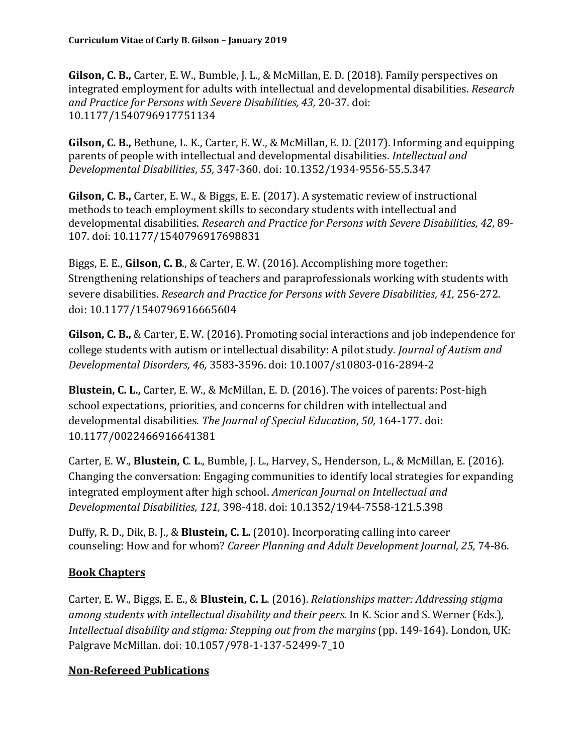**Gilson, C. B.,** Carter, E. W., Bumble, J. L., & McMillan, E. D. (2018). Family perspectives on integrated employment for adults with intellectual and developmental disabilities. *Research and Practice for Persons with Severe Disabilities, 43,* 20-37*.* doi: 10.1177/1540796917751134

**Gilson, C. B.,** Bethune, L. K., Carter, E. W., & McMillan, E. D. (2017). Informing and equipping parents of people with intellectual and developmental disabilities. *Intellectual and Developmental Disabilities*, *55,* 347-360. doi: 10.1352/1934-9556-55.5.347

**Gilson, C. B.,** Carter, E. W., & Biggs, E. E. (2017). A systematic review of instructional methods to teach employment skills to secondary students with intellectual and developmental disabilities. *Research and Practice for Persons with Severe Disabilities, 42,* 89- 107. doi: 10.1177/1540796917698831

Biggs, E. E., **Gilson, C. B**., & Carter, E. W. (2016). Accomplishing more together: Strengthening relationships of teachers and paraprofessionals working with students with severe disabilities. *Research and Practice for Persons with Severe Disabilities, 41, 256-272.* doi: 10.1177/1540796916665604

**Gilson, C. B.,** & Carter, E. W. (2016). Promoting social interactions and job independence for college students with autism or intellectual disability: A pilot study. *Journal of Autism and Developmental Disorders, 46,* 3583-3596. doi: 10.1007/s10803-016-2894-2

**Blustein, C. L.,** Carter, E. W., & McMillan, E. D. (2016). The voices of parents: Post-high school expectations, priorities, and concerns for children with intellectual and developmental disabilities. *The Journal of Special Education*, *50,* 164-177. doi: 10.1177/0022466916641381

Carter, E. W., **Blustein, C**. **L**., Bumble, J. L., Harvey, S., Henderson, L., & McMillan, E. (2016). Changing the conversation: Engaging communities to identify local strategies for expanding integrated employment after high school. *American Journal on Intellectual and Developmental Disabilities, 121,* 398-418. doi: 10.1352/1944-7558-121.5.398

Duffy, R. D., Dik, B. J., & **Blustein, C. L.** (2010). Incorporating calling into career counseling: How and for whom? *Career Planning and Adult Development Journal*, *25,* 74-86.

### **Book Chapters**

Carter, E. W., Biggs, E. E., & **Blustein, C. L**. (2016). *Relationships matter: Addressing stigma among students with intellectual disability and their peers.* In K. Scior and S. Werner (Eds.), *Intellectual disability and stigma: Stepping out from the margins* (pp. 149-164). London, UK: Palgrave McMillan. doi: 10.1057/978-1-137-52499-7\_10

### **Non-Refereed Publications**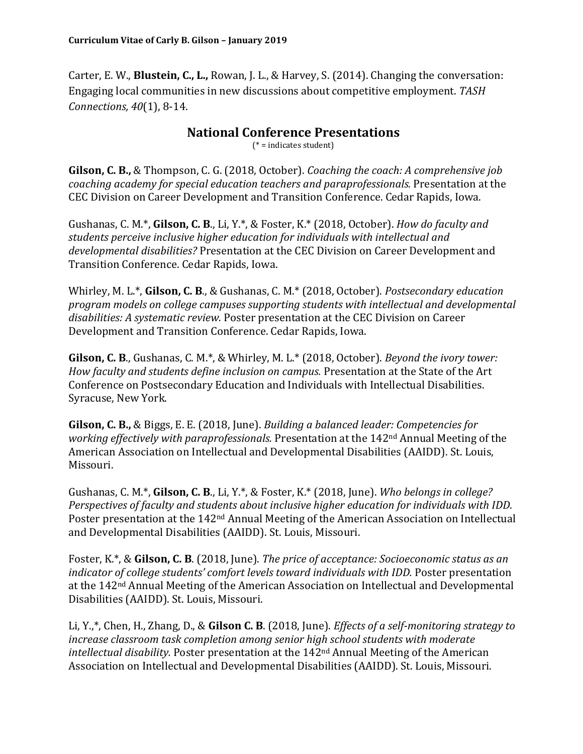Carter, E. W., **Blustein, C., L.,** Rowan, J. L., & Harvey, S. (2014). Changing the conversation: Engaging local communities in new discussions about competitive employment. *TASH Connections, 40*(1), 8-14.

#### **National Conference Presentations**

(\* = indicates student)

**Gilson, C. B.,** & Thompson, C. G. (2018, October). *Coaching the coach: A comprehensive job coaching academy for special education teachers and paraprofessionals.* Presentation at the CEC Division on Career Development and Transition Conference. Cedar Rapids, Iowa.

Gushanas, C. M.\*, **Gilson, C. B**., Li, Y.\*, & Foster, K.\* (2018, October). *How do faculty and students perceive inclusive higher education for individuals with intellectual and developmental disabilities?* Presentation at the CEC Division on Career Development and Transition Conference. Cedar Rapids, Iowa.

Whirley, M. L.\*, **Gilson, C. B**., & Gushanas, C. M.\* (2018, October). *Postsecondary education program models on college campuses supporting students with intellectual and developmental disabilities: A systematic review.* Poster presentation at the CEC Division on Career Development and Transition Conference. Cedar Rapids, Iowa.

**Gilson, C. B**., Gushanas, C. M.\*, & Whirley, M. L.\* (2018, October). *Beyond the ivory tower: How faculty and students define inclusion on campus.* Presentation at the State of the Art Conference on Postsecondary Education and Individuals with Intellectual Disabilities. Syracuse, New York.

**Gilson, C. B.,** & Biggs, E. E. (2018, June). *Building a balanced leader: Competencies for working effectively with paraprofessionals.* Presentation at the 142nd Annual Meeting of the American Association on Intellectual and Developmental Disabilities (AAIDD). St. Louis, Missouri.

Gushanas, C. M.\*, **Gilson, C. B**., Li, Y.\*, & Foster, K.\* (2018, June). *Who belongs in college? Perspectives of faculty and students about inclusive higher education for individuals with IDD.* Poster presentation at the 142nd Annual Meeting of the American Association on Intellectual and Developmental Disabilities (AAIDD). St. Louis, Missouri.

Foster, K.\*, & **Gilson, C. B**. (2018, June). *The price of acceptance: Socioeconomic status as an indicator of college students' comfort levels toward individuals with IDD.* Poster presentation at the 142nd Annual Meeting of the American Association on Intellectual and Developmental Disabilities (AAIDD). St. Louis, Missouri.

Li, Y.,\*, Chen, H., Zhang, D., & **Gilson C. B**. (2018, June). *Effects of a self-monitoring strategy to increase classroom task completion among senior high school students with moderate intellectual disability.* Poster presentation at the 142nd Annual Meeting of the American Association on Intellectual and Developmental Disabilities (AAIDD). St. Louis, Missouri.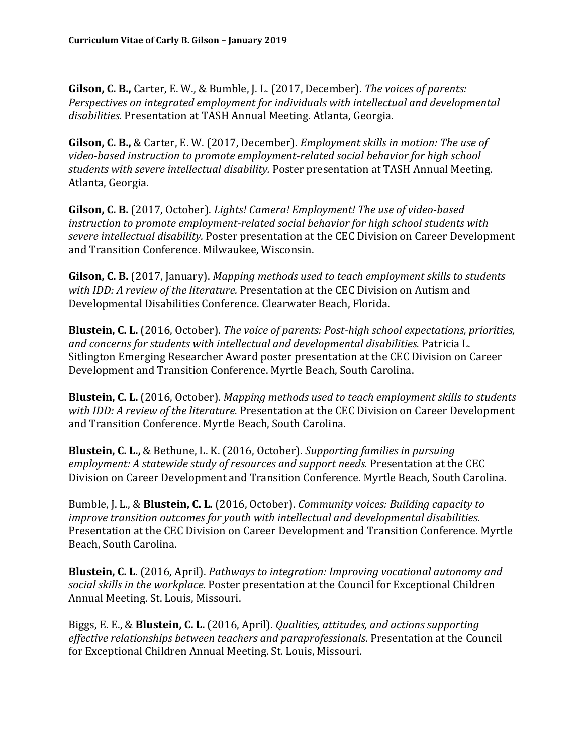**Gilson, C. B.,** Carter, E. W., & Bumble, J. L. (2017, December). *The voices of parents: Perspectives on integrated employment for individuals with intellectual and developmental disabilities.* Presentation at TASH Annual Meeting. Atlanta, Georgia.

**Gilson, C. B.,** & Carter, E. W. (2017, December). *Employment skills in motion: The use of video-based instruction to promote employment-related social behavior for high school students with severe intellectual disability.* Poster presentation at TASH Annual Meeting. Atlanta, Georgia.

**Gilson, C. B.** (2017, October). *Lights! Camera! Employment! The use of video-based instruction to promote employment-related social behavior for high school students with severe intellectual disability.* Poster presentation at the CEC Division on Career Development and Transition Conference. Milwaukee, Wisconsin.

**Gilson, C. B.** (2017, January). *Mapping methods used to teach employment skills to students with IDD: A review of the literature.* Presentation at the CEC Division on Autism and Developmental Disabilities Conference. Clearwater Beach, Florida.

**Blustein, C. L.** (2016, October). *The voice of parents: Post-high school expectations, priorities, and concerns for students with intellectual and developmental disabilities.* Patricia L. Sitlington Emerging Researcher Award poster presentation at the CEC Division on Career Development and Transition Conference. Myrtle Beach, South Carolina.

**Blustein, C. L.** (2016, October). *Mapping methods used to teach employment skills to students with IDD: A review of the literature.* Presentation at the CEC Division on Career Development and Transition Conference. Myrtle Beach, South Carolina.

**Blustein, C. L.,** & Bethune, L. K. (2016, October). *Supporting families in pursuing employment: A statewide study of resources and support needs.* Presentation at the CEC Division on Career Development and Transition Conference. Myrtle Beach, South Carolina.

Bumble, J. L., & **Blustein, C. L.** (2016, October). *Community voices: Building capacity to improve transition outcomes for youth with intellectual and developmental disabilities.*  Presentation at the CEC Division on Career Development and Transition Conference. Myrtle Beach, South Carolina.

**Blustein, C. L**. (2016, April). *Pathways to integration: Improving vocational autonomy and social skills in the workplace.* Poster presentation at the Council for Exceptional Children Annual Meeting. St. Louis, Missouri.

Biggs, E. E., & **Blustein, C. L.** (2016, April). *Qualities, attitudes, and actions supporting effective relationships between teachers and paraprofessionals*. Presentation at the Council for Exceptional Children Annual Meeting. St. Louis, Missouri.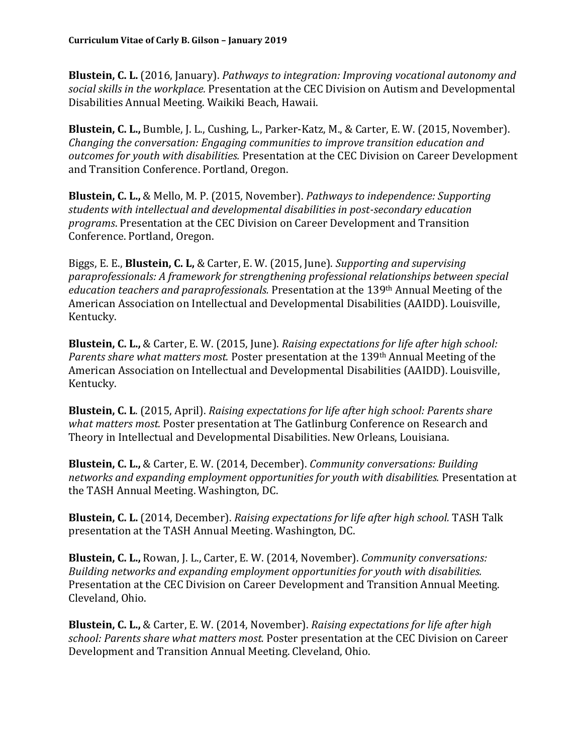**Blustein, C. L.** (2016, January). *Pathways to integration: Improving vocational autonomy and social skills in the workplace.* Presentation at the CEC Division on Autism and Developmental Disabilities Annual Meeting. Waikiki Beach, Hawaii.

**Blustein, C. L.,** Bumble, J. L., Cushing, L., Parker-Katz, M., & Carter, E. W. (2015, November). *Changing the conversation: Engaging communities to improve transition education and outcomes for youth with disabilities.* Presentation at the CEC Division on Career Development and Transition Conference. Portland, Oregon.

**Blustein, C. L.,** & Mello, M. P. (2015, November). *Pathways to independence: Supporting students with intellectual and developmental disabilities in post-secondary education programs*. Presentation at the CEC Division on Career Development and Transition Conference. Portland, Oregon.

Biggs, E. E., **Blustein, C. L,** & Carter, E. W. (2015, June). *Supporting and supervising paraprofessionals: A framework for strengthening professional relationships between special education teachers and paraprofessionals.* Presentation at the 139th Annual Meeting of the American Association on Intellectual and Developmental Disabilities (AAIDD). Louisville, Kentucky.

**Blustein, C. L.,** & Carter, E. W. (2015, June). *Raising expectations for life after high school: Parents share what matters most.* Poster presentation at the 139th Annual Meeting of the American Association on Intellectual and Developmental Disabilities (AAIDD). Louisville, Kentucky.

**Blustein, C. L**. (2015, April). *Raising expectations for life after high school: Parents share what matters most.* Poster presentation at The Gatlinburg Conference on Research and Theory in Intellectual and Developmental Disabilities. New Orleans, Louisiana.

**Blustein, C. L.,** & Carter, E. W. (2014, December). *Community conversations: Building networks and expanding employment opportunities for youth with disabilities.* Presentation at the TASH Annual Meeting. Washington, DC.

**Blustein, C. L.** (2014, December). *Raising expectations for life after high school.* TASH Talk presentation at the TASH Annual Meeting. Washington, DC.

**Blustein, C. L.,** Rowan, J. L., Carter, E. W. (2014, November). *Community conversations: Building networks and expanding employment opportunities for youth with disabilities.* Presentation at the CEC Division on Career Development and Transition Annual Meeting. Cleveland, Ohio.

**Blustein, C. L.,** & Carter, E. W. (2014, November). *Raising expectations for life after high school: Parents share what matters most.* Poster presentation at the CEC Division on Career Development and Transition Annual Meeting. Cleveland, Ohio.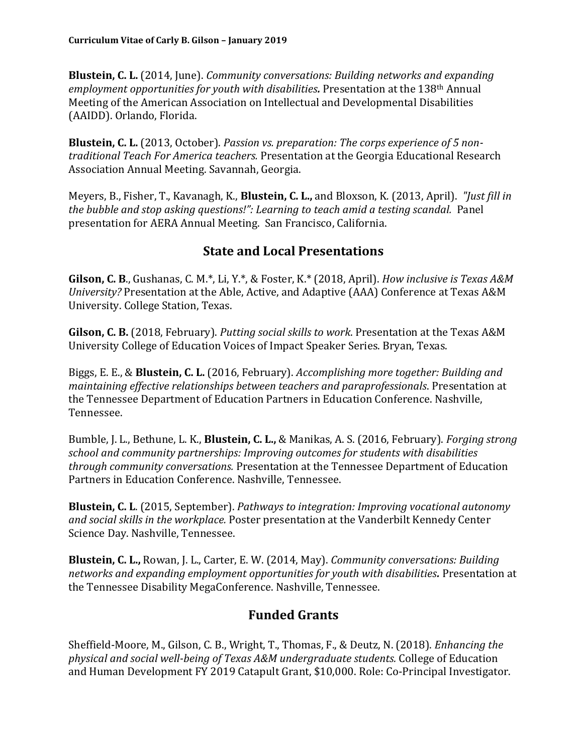**Blustein, C. L.** (2014, June). *Community conversations: Building networks and expanding employment opportunities for youth with disabilities.* Presentation at the 138th Annual Meeting of the American Association on Intellectual and Developmental Disabilities (AAIDD). Orlando, Florida.

**Blustein, C. L.** (2013, October). *Passion vs. preparation: The corps experience of 5 nontraditional Teach For America teachers.* Presentation at the Georgia Educational Research Association Annual Meeting. Savannah, Georgia.

Meyers, B., Fisher, T., Kavanagh, K., **Blustein, C. L.,** and Bloxson, K*.* (2013, April). *"Just fill in the bubble and stop asking questions!": Learning to teach amid a testing scandal.* Panel presentation for AERA Annual Meeting. San Francisco, California.

### **State and Local Presentations**

**Gilson, C. B**., Gushanas, C. M.\*, Li, Y.\*, & Foster, K.\* (2018, April). *How inclusive is Texas A&M University?* Presentation at the Able, Active, and Adaptive (AAA) Conference at Texas A&M University. College Station, Texas.

**Gilson, C. B.** (2018, February). *Putting social skills to work*. Presentation at the Texas A&M University College of Education Voices of Impact Speaker Series. Bryan, Texas.

Biggs, E. E., & **Blustein, C. L.** (2016, February). *Accomplishing more together: Building and maintaining effective relationships between teachers and paraprofessionals*. Presentation at the Tennessee Department of Education Partners in Education Conference. Nashville, Tennessee.

Bumble, J. L., Bethune, L. K., **Blustein, C. L.,** & Manikas, A. S. (2016, February). *Forging strong school and community partnerships: Improving outcomes for students with disabilities through community conversations.* Presentation at the Tennessee Department of Education Partners in Education Conference. Nashville, Tennessee.

**Blustein, C. L**. (2015, September). *Pathways to integration: Improving vocational autonomy and social skills in the workplace.* Poster presentation at the Vanderbilt Kennedy Center Science Day. Nashville, Tennessee.

**Blustein, C. L.,** Rowan, J. L., Carter, E. W. (2014, May). *Community conversations: Building networks and expanding employment opportunities for youth with disabilities.* Presentation at the Tennessee Disability MegaConference. Nashville, Tennessee.

### **Funded Grants**

Sheffield-Moore, M., Gilson, C. B., Wright, T., Thomas, F., & Deutz, N. (2018). *Enhancing the physical and social well-being of Texas A&M undergraduate students.* College of Education and Human Development FY 2019 Catapult Grant, \$10,000. Role: Co-Principal Investigator.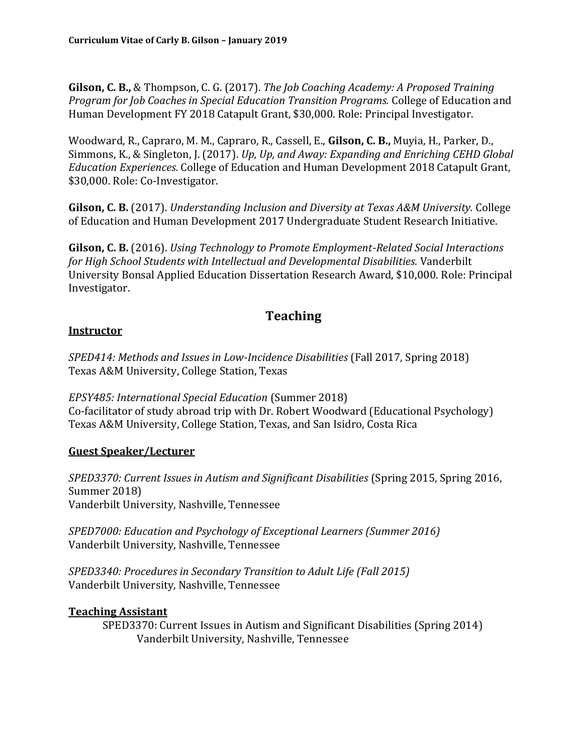**Gilson, C. B.,** & Thompson, C. G. (2017). *The Job Coaching Academy: A Proposed Training Program for Job Coaches in Special Education Transition Programs.* College of Education and Human Development FY 2018 Catapult Grant, \$30,000. Role: Principal Investigator.

Woodward, R., Capraro, M. M., Capraro, R., Cassell, E., **Gilson, C. B.,** Muyia, H., Parker, D., Simmons, K., & Singleton, J. (2017). *Up, Up, and Away: Expanding and Enriching CEHD Global Education Experiences.* College of Education and Human Development 2018 Catapult Grant, \$30,000. Role: Co-Investigator.

**Gilson, C. B.** (2017). *Understanding Inclusion and Diversity at Texas A&M University.* College of Education and Human Development 2017 Undergraduate Student Research Initiative.

**Gilson, C. B.** (2016). *Using Technology to Promote Employment-Related Social Interactions for High School Students with Intellectual and Developmental Disabilities.* Vanderbilt University Bonsal Applied Education Dissertation Research Award, \$10,000. Role: Principal Investigator.

### **Teaching**

#### **Instructor**

*SPED414: Methods and Issues in Low-Incidence Disabilities* (Fall 2017, Spring 2018) Texas A&M University, College Station, Texas

*EPSY485: International Special Education* (Summer 2018) Co-facilitator of study abroad trip with Dr. Robert Woodward (Educational Psychology) Texas A&M University, College Station, Texas, and San Isidro, Costa Rica

#### **Guest Speaker/Lecturer**

*SPED3370: Current Issues in Autism and Significant Disabilities* (Spring 2015, Spring 2016, Summer 2018) Vanderbilt University, Nashville, Tennessee

*SPED7000: Education and Psychology of Exceptional Learners (Summer 2016)* Vanderbilt University, Nashville, Tennessee

*SPED3340: Procedures in Secondary Transition to Adult Life (Fall 2015)* Vanderbilt University, Nashville, Tennessee

#### **Teaching Assistant**

SPED3370: Current Issues in Autism and Significant Disabilities (Spring 2014) Vanderbilt University, Nashville, Tennessee